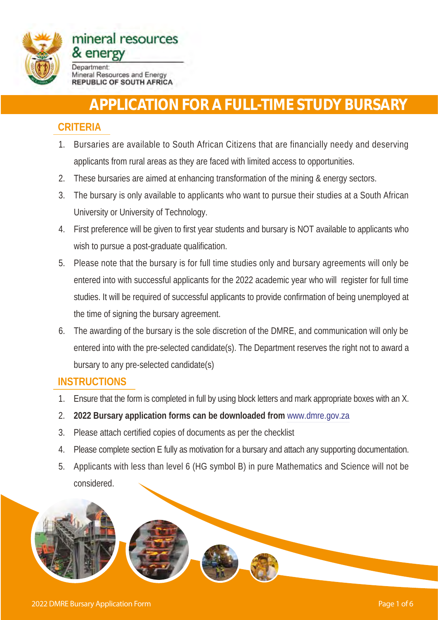

# **APPLICATION FOR A FULL-TIME STUDY BURSARY**

### **CRITERIA**

- 1. Bursaries are available to South African Citizens that are financially needy and deserving applicants from rural areas as they are faced with limited access to opportunities.
- 2. These bursaries are aimed at enhancing transformation of the mining & energy sectors.
- 3. The bursary is only available to applicants who want to pursue their studies at a South African University or University of Technology.
- 4. First preference will be given to first year students and bursary is NOT available to applicants who wish to pursue a post-graduate qualification.
- 5. Please note that the bursary is for full time studies only and bursary agreements will only be entered into with successful applicants for the 2022 academic year who will register for full time studies. It will be required of successful applicants to provide confirmation of being unemployed at the time of signing the bursary agreement.
- 6. The awarding of the bursary is the sole discretion of the DMRE, and communication will only be entered into with the pre-selected candidate(s). The Department reserves the right not to award a bursary to any pre-selected candidate(s)

### **INSTRUCTIONS**

- 1. Ensure that the form is completed in full by using block letters and mark appropriate boxes with an X.
- 2. **2022 Bursary application forms can be downloaded from** www.dmre.gov.za
- 3. Please attach certified copies of documents as per the checklist
- 4. Please complete section E fully as motivation for a bursary and attach any supporting documentation.
- 5. Applicants with less than level 6 (HG symbol B) in pure Mathematics and Science will not be considered.

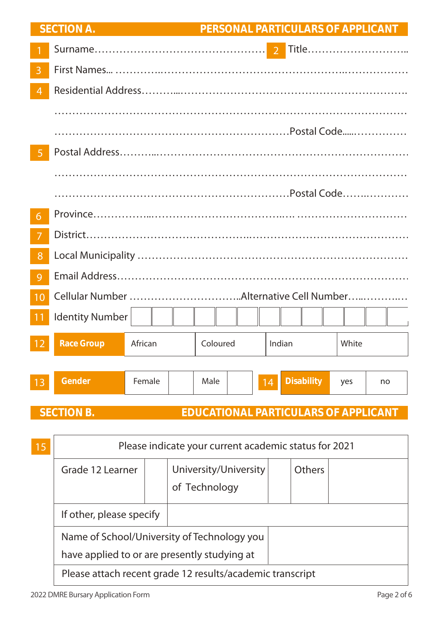|                 | <b>SECTION A.</b> |         |          | PERSONAL PARTICULARS OF APPLICANT |           |  |  |  |
|-----------------|-------------------|---------|----------|-----------------------------------|-----------|--|--|--|
|                 |                   |         |          |                                   |           |  |  |  |
| $\overline{3}$  |                   |         |          |                                   |           |  |  |  |
| $\overline{4}$  |                   |         |          |                                   |           |  |  |  |
|                 |                   |         |          |                                   |           |  |  |  |
|                 |                   |         |          |                                   |           |  |  |  |
| $\overline{5}$  |                   |         |          |                                   |           |  |  |  |
|                 |                   |         |          |                                   |           |  |  |  |
|                 |                   |         |          |                                   |           |  |  |  |
| 6               |                   |         |          |                                   |           |  |  |  |
| 7               |                   |         |          |                                   |           |  |  |  |
| 8               |                   |         |          |                                   |           |  |  |  |
| 9               |                   |         |          |                                   |           |  |  |  |
| 10              |                   |         |          |                                   |           |  |  |  |
| $\overline{11}$ | Identity Number   |         |          |                                   |           |  |  |  |
|                 |                   |         |          |                                   |           |  |  |  |
| 12              | <b>Race Group</b> | African | Coloured | Indian                            | White     |  |  |  |
|                 |                   |         |          |                                   |           |  |  |  |
| 13              | <b>Gender</b>     | Female  | Male     | <b>Disability</b><br>14           | yes<br>no |  |  |  |
|                 |                   |         |          |                                   |           |  |  |  |

### **SECTION B. EDUCATIONAL PARTICULARS OF APPLICANT**

| 15 | Please indicate your current academic status for 2021     |                                             |                                        |  |               |  |
|----|-----------------------------------------------------------|---------------------------------------------|----------------------------------------|--|---------------|--|
|    | Grade 12 Learner                                          |                                             | University/University<br>of Technology |  | <b>Others</b> |  |
|    | If other, please specify                                  |                                             |                                        |  |               |  |
|    |                                                           | Name of School/University of Technology you |                                        |  |               |  |
|    | have applied to or are presently studying at              |                                             |                                        |  |               |  |
|    | Please attach recent grade 12 results/academic transcript |                                             |                                        |  |               |  |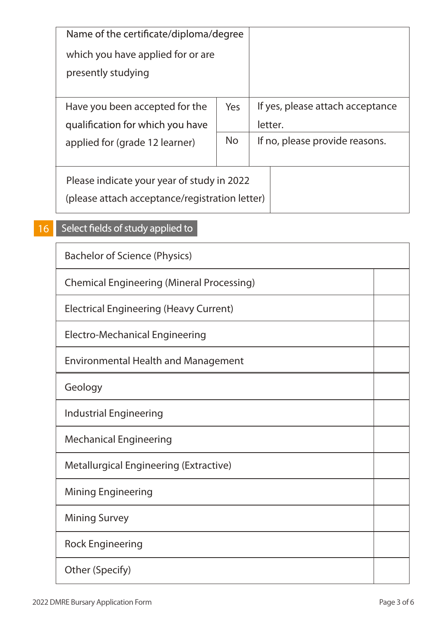| Name of the certificate/diploma/degree         |           |                                  |  |
|------------------------------------------------|-----------|----------------------------------|--|
| which you have applied for or are              |           |                                  |  |
| presently studying                             |           |                                  |  |
|                                                |           |                                  |  |
| Have you been accepted for the                 | Yes       | If yes, please attach acceptance |  |
| qualification for which you have               |           | letter.                          |  |
| applied for (grade 12 learner)                 | <b>No</b> | If no, please provide reasons.   |  |
|                                                |           |                                  |  |
| Please indicate your year of study in 2022     |           |                                  |  |
| (please attach acceptance/registration letter) |           |                                  |  |
|                                                |           |                                  |  |

#### Select fields of study applied to 16

| <b>Bachelor of Science (Physics)</b>             |  |  |  |  |
|--------------------------------------------------|--|--|--|--|
| <b>Chemical Engineering (Mineral Processing)</b> |  |  |  |  |
| <b>Electrical Engineering (Heavy Current)</b>    |  |  |  |  |
| <b>Electro-Mechanical Engineering</b>            |  |  |  |  |
| <b>Environmental Health and Management</b>       |  |  |  |  |
| Geology                                          |  |  |  |  |
| <b>Industrial Engineering</b>                    |  |  |  |  |
| <b>Mechanical Engineering</b>                    |  |  |  |  |
| <b>Metallurgical Engineering (Extractive)</b>    |  |  |  |  |
| <b>Mining Engineering</b>                        |  |  |  |  |
| <b>Mining Survey</b>                             |  |  |  |  |
| <b>Rock Engineering</b>                          |  |  |  |  |
| Other (Specify)                                  |  |  |  |  |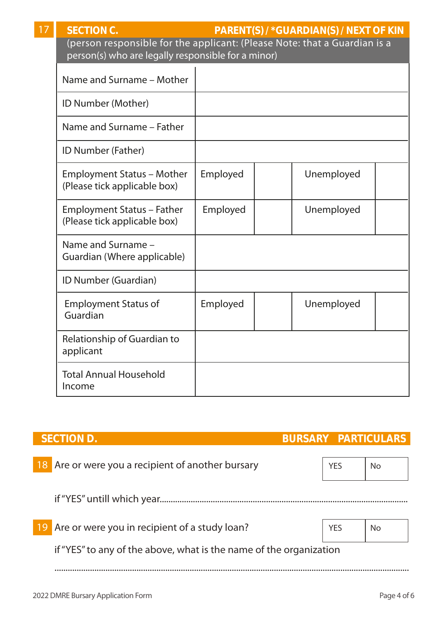| $\overline{7}$ | <b>SECTION C.</b><br>PARENT(S) / *GUARDIAN(S) / NEXT OF KIN<br>(person responsible for the applicant: (Please Note: that a Guardian is a<br>person(s) who are legally responsible for a minor) |          |  |            |  |  |
|----------------|------------------------------------------------------------------------------------------------------------------------------------------------------------------------------------------------|----------|--|------------|--|--|
|                | Name and Surname - Mother                                                                                                                                                                      |          |  |            |  |  |
|                | ID Number (Mother)                                                                                                                                                                             |          |  |            |  |  |
|                | Name and Surname - Father                                                                                                                                                                      |          |  |            |  |  |
|                | ID Number (Father)                                                                                                                                                                             |          |  |            |  |  |
|                | <b>Employment Status - Mother</b><br>(Please tick applicable box)                                                                                                                              | Employed |  | Unemployed |  |  |
|                | Employment Status - Father<br>(Please tick applicable box)                                                                                                                                     | Employed |  | Unemployed |  |  |
|                | Name and Surname -<br>Guardian (Where applicable)                                                                                                                                              |          |  |            |  |  |
|                | ID Number (Guardian)                                                                                                                                                                           |          |  |            |  |  |
|                | <b>Employment Status of</b><br>Guardian                                                                                                                                                        | Employed |  | Unemployed |  |  |
|                | Relationship of Guardian to<br>applicant                                                                                                                                                       |          |  |            |  |  |
|                | <b>Total Annual Household</b><br>Income                                                                                                                                                        |          |  |            |  |  |
|                |                                                                                                                                                                                                |          |  |            |  |  |

| <b>SECTION D.</b>                                                  | <b>BURSARY PARTICULARS</b> |            |     |
|--------------------------------------------------------------------|----------------------------|------------|-----|
| Are or were you a recipient of another bursary                     |                            | <b>YES</b> | No. |
|                                                                    |                            |            |     |
| Are or were you in recipient of a study loan?                      |                            | <b>YES</b> | No  |
| if "YES" to any of the above, what is the name of the organization |                            |            |     |
|                                                                    |                            |            |     |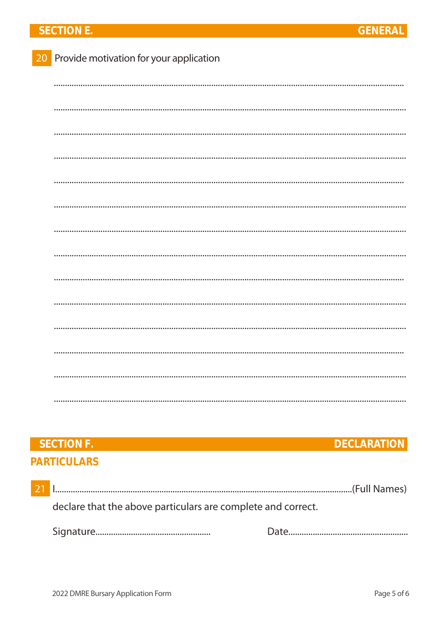### **SECTION E.**

| 20 Provide motivation for your application |
|--------------------------------------------|
|                                            |
|                                            |
|                                            |
|                                            |
|                                            |
|                                            |
|                                            |
|                                            |
|                                            |
|                                            |
|                                            |
|                                            |
|                                            |
|                                            |

### SECTION F. **DECLARATION PARTICULARS**

| $\overline{21}$ |                                                              |  |  |  |  |
|-----------------|--------------------------------------------------------------|--|--|--|--|
|                 | declare that the above particulars are complete and correct. |  |  |  |  |
|                 |                                                              |  |  |  |  |